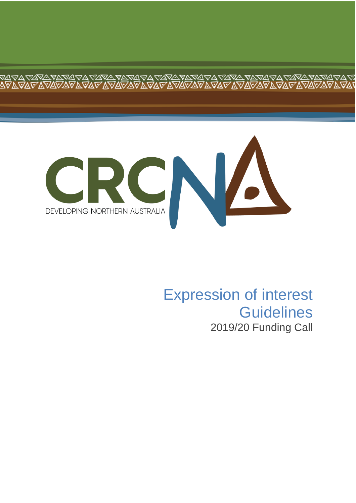

≪∆<br>ବ୍ୟାଧ

⊽≙<br>∧⊽

# Expression of interest **Guidelines** 2019/20 Funding Call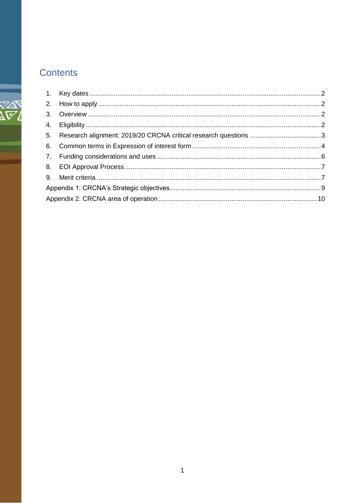# Contents

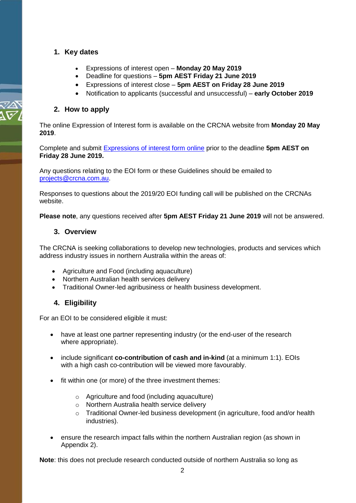## <span id="page-2-0"></span>**1. Key dates**

- Expressions of interest open **Monday 20 May 2019**
- Deadline for questions **5pm AEST Friday 21 June 2019**
- Expressions of interest close **5pm AEST on Friday 28 June 2019**
- Notification to applicants (successful and unsuccessful) **early October 2019**

#### <span id="page-2-1"></span>**2. How to apply**

The [online Expression of Interest form](http://www.crcna.com.au/research/expressions-of-interest/2018-19-funding-call/eoi-form/) is available on the [CRCNA website f](http://www.crcna.com.au/)rom **Monday 20 May 2019**.

Complete and submit [Expressions of interest form](http://www.crcna.com.au/research/expressions-of-interest/2019-20-funding-call/eoi-form/) online prior to the deadline **5pm AEST on Friday 28 June 2019.**

Any questions relating to the EOI form or these Guidelines should be emailed to [projects@crcna.com.au.](mailto:projects@crcna.com.au)

Responses to questions about the 2019/20 EOI funding call will be published on the CRCNAs website.

<span id="page-2-2"></span>**Please note**, any questions received after **5pm AEST Friday 21 June 2019** will not be answered.

#### **3. Overview**

The CRCNA is seeking collaborations to develop new technologies, products and services which address industry issues in northern Australia within the areas of:

- Agriculture and Food (including aquaculture)
- Northern Australian health services delivery
- Traditional Owner-led agribusiness or health business development.

#### <span id="page-2-3"></span>**4. Eligibility**

For an EOI to be considered eligible it must:

- have at least one partner representing industry (or the end-user of the research where appropriate).
- include significant **co-contribution of cash and in-kind** (at a minimum 1:1). EOIs with a high cash co-contribution will be viewed more favourably.
- fit within one (or more) of the three investment themes:
	- o Agriculture and food (including aquaculture)
	- o Northern Australia health service delivery
	- o Traditional Owner-led business development (in agriculture, food and/or health industries).
- ensure the research impact falls within the northern Australian region (as shown in Appendix 2).

**Note**: this does not preclude research conducted outside of northern Australia so long as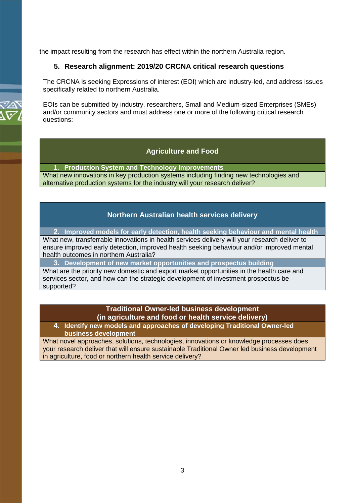<span id="page-3-0"></span>the impact resulting from the research has effect within the northern Australia region.

#### **5. Research alignment: 2019/20 CRCNA critical research questions**

The CRCNA is seeking Expressions of interest (EOI) which are industry-led, and address issues specifically related to northern Australia.

EOIs can be submitted by industry, researchers, Small and Medium-sized Enterprises (SMEs) and/or community sectors and must address one or more of the following critical research questions:

#### **Agriculture and Food**

**1. Production System and Technology Improvements** What new innovations in key production systems including finding new technologies and alternative production systems for the industry will your research deliver?

#### **Northern Australian health services delivery**

**2. Improved models for early detection, health seeking behaviour and mental health** What new, transferrable innovations in health services delivery will your research deliver to ensure improved early detection, improved health seeking behaviour and/or improved mental health outcomes in northern Australia?

**3. Development of new market opportunities and prospectus building**

What are the priority new domestic and export market opportunities in the health care and services sector, and how can the strategic development of investment prospectus be supported?

#### **Traditional Owner-led business development (in agriculture and food or health service delivery)**

**4. Identify new models and approaches of developing Traditional Owner-led business development**

What novel approaches, solutions, technologies, innovations or knowledge processes does your research deliver that will ensure sustainable Traditional Owner led business development in agriculture, food or northern health service delivery?

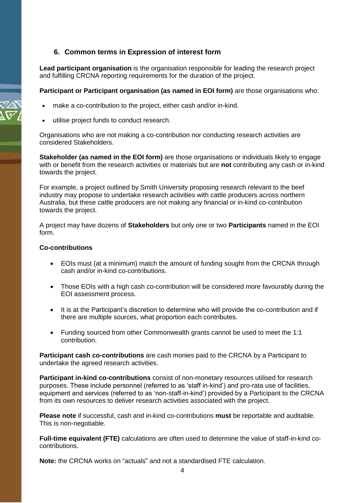#### <span id="page-4-0"></span>**6. Common terms in Expression of interest form**

**Lead participant organisation** is the organisation responsible for leading the research project and fulfilling CRCNA reporting requirements for the duration of the project.

**Participant or Participant organisation (as named in EOI form)** are those organisations who:

- make a co-contribution to the project, either cash and/or in-kind.
- utilise project funds to conduct research.

Organisations who are not making a co-contribution nor conducting research activities are considered Stakeholders.

**Stakeholder (as named in the EOI form)** are those organisations or individuals likely to engage with or benefit from the research activities or materials but are **not** contributing any cash or in-kind towards the project.

For example, a project outlined by Smith University proposing research relevant to the beef industry may propose to undertake research activities with cattle producers across northern Australia, but these cattle producers are not making any financial or in-kind co-contribution towards the project.

A project may have dozens of **Stakeholders** but only one or two **Participants** named in the EOI form.

#### **Co-contributions**

- EOIs must (at a minimum) match the amount of funding sought from the CRCNA through cash and/or in-kind co-contributions.
- Those EOIs with a high cash co-contribution will be considered more favourably during the EOI assessment process.
- It is at the Participant's discretion to determine who will provide the co-contribution and if there are multiple sources, what proportion each contributes.
- Funding sourced from other Commonwealth grants cannot be used to meet the 1:1 contribution.

**Participant cash co-contributions** are cash monies paid to the CRCNA by a Participant to undertake the agreed research activities.

**Participant in-kind co-contributions** consist of non-monetary resources utilised for research purposes. These include personnel (referred to as 'staff in-kind') and pro-rata use of facilities, equipment and services (referred to as 'non-staff-in-kind') provided by a Participant to the CRCNA from its own resources to deliver research activities associated with the project.

**Please note** if successful, cash and in-kind co-contributions **must** be reportable and auditable. This is non-negotiable.

**Full-time equivalent (FTE)** calculations are often used to determine the value of staff-in-kind cocontributions.

**Note:** the CRCNA works on "actuals" and not a standardised FTE calculation.

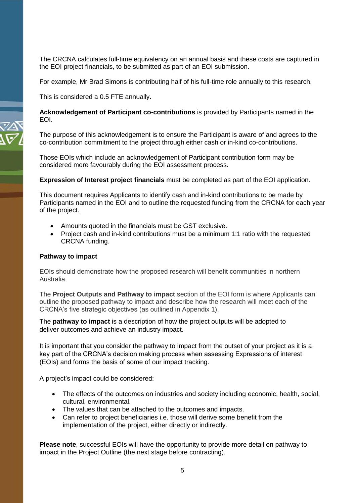The CRCNA calculates full-time equivalency on an annual basis and these costs are captured in the EOI project financials, to be submitted as part of an EOI submission.

For example, Mr Brad Simons is contributing half of his full-time role annually to this research.

This is considered a 0.5 FTE annually.

**Acknowledgement of Participant co-contributions** is provided by Participants named in the EOI.

The purpose of this acknowledgement is to ensure the Participant is aware of and agrees to the co-contribution commitment to the project through either cash or in-kind co-contributions.

Those EOIs which include an acknowledgement of Participant contribution form may be considered more favourably during the EOI assessment process.

**Expression of Interest project financials** must be completed as part of the EOI application.

This document requires Applicants to identify cash and in-kind contributions to be made by Participants named in the EOI and to outline the requested funding from the CRCNA for each year of the project.

- Amounts quoted in the financials must be GST exclusive.
- Project cash and in-kind contributions must be a minimum 1:1 ratio with the requested CRCNA funding.

#### **Pathway to impact**

EOIs should demonstrate how the proposed research will benefit communities in northern Australia.

The **Project Outputs and Pathway to impact** section of the EOI form is where Applicants can outline the proposed pathway to impact and describe how the research will meet each of the CRCNA's five strategic objectives (as outlined in Appendix 1).

The **pathway to impact** is a description of how the project outputs will be adopted to deliver outcomes and achieve an industry impact.

It is important that you consider the pathway to impact from the outset of your project as it is a key part of the CRCNA's decision making process when assessing Expressions of interest (EOIs) and forms the basis of some of our impact tracking.

A project's impact could be considered:

- The effects of the outcomes on industries and society including economic, health, social, cultural, environmental.
- The values that can be attached to the outcomes and impacts.
- Can refer to project beneficiaries i.e. those will derive some benefit from the implementation of the project, either directly or indirectly.

**Please note**, successful EOIs will have the opportunity to provide more detail on pathway to impact in the Project Outline (the next stage before contracting).

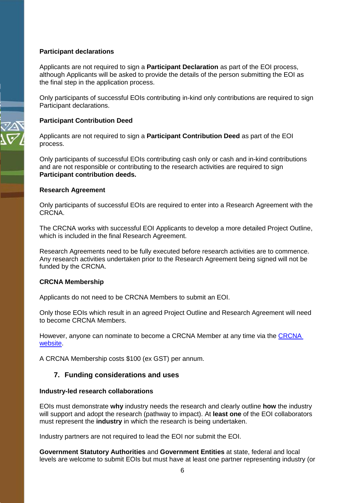#### **Participant declarations**

Applicants are not required to sign a **Participant Declaration** as part of the EOI process, although Applicants will be asked to provide the details of the person submitting the EOI as the final step in the application process.

Only participants of successful EOIs contributing in-kind only contributions are required to sign Participant declarations.

#### **Participant Contribution Deed**

Applicants are not required to sign a **Participant Contribution Deed** as part of the EOI process.

Only participants of successful EOIs contributing cash only or cash and in-kind contributions and are not responsible or contributing to the research activities are required to sign **Participant contribution deeds.**

#### **Research Agreement**

Only participants of successful EOIs are required to enter into a Research Agreement with the CRCNA.

The CRCNA works with successful EOI Applicants to develop a more detailed Project Outline, which is included in the final Research Agreement.

Research Agreements need to be fully executed before research activities are to commence. Any research activities undertaken prior to the Research Agreement being signed will not be funded by the CRCNA.

#### **CRCNA Membership**

Applicants do not need to be CRCNA Members to submit an EOI.

Only those EOIs which result in an agreed Project Outline and Research Agreement will need to become CRCNA Members.

However, anyone can nominate to become a CRCNA Member at any time via the [CRCNA](http://www.crcna.com.au/about/membership/)  [website.](http://www.crcna.com.au/about/membership/)

A CRCNA Membership costs \$100 (ex GST) per annum.

#### <span id="page-6-0"></span>**7. Funding considerations and uses**

#### **Industry-led research collaborations**

EOIs must demonstrate **why** industry needs the research and clearly outline **how** the industry will support and adopt the research (pathway to impact). At **least one** of the EOI collaborators must represent the **industry** in which the research is being undertaken.

Industry partners are not required to lead the EOI nor submit the EOI.

**Government Statutory Authorities** and **Government Entities** at state, federal and local levels are welcome to submit EOIs but must have at least one partner representing industry (or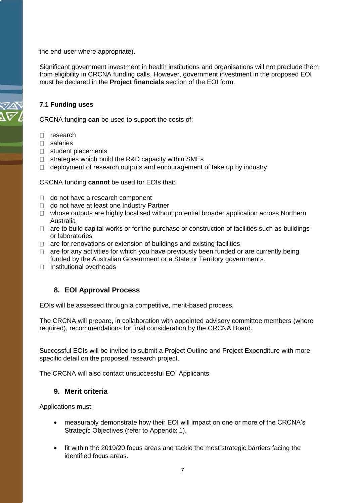the end-user where appropriate).

Significant government investment in health institutions and organisations will not preclude them from eligibility in CRCNA funding calls. However, government investment in the proposed EOI must be declared in the **Project financials** section of the EOI form.

#### **7.1 Funding uses**

CRCNA funding **can** be used to support the costs of:

- D research
- salaries
- $\Box$  student placements
- $\Box$  strategies which build the R&D capacity within SMEs
- $\Box$  deployment of research outputs and encouragement of take up by industry

CRCNA funding **cannot** be used for EOIs that:

- $\Box$  do not have a research component
- □ do not have at least one Industry Partner
- $\Box$  whose outputs are highly localised without potential broader application across Northern Australia
- $\Box$  are to build capital works or for the purchase or construction of facilities such as buildings or laboratories
- $\Box$  are for renovations or extension of buildings and existing facilities
- $\Box$  are for any activities for which you have previously been funded or are currently being funded by the Australian Government or a State or Territory governments.
- $\Box$  Institutional overheads

## <span id="page-7-0"></span>**8. EOI Approval Process**

EOIs will be assessed through a competitive, merit-based process.

The CRCNA will prepare, in collaboration with appointed advisory committee members (where required), recommendations for final consideration by the CRCNA Board.

Successful EOIs will be invited to submit a Project Outline and Project Expenditure with more specific detail on the proposed research project.

The CRCNA will also contact unsuccessful EOI Applicants.

#### <span id="page-7-1"></span>**9. Merit criteria**

Applications must:

- measurably demonstrate how their EOI will impact on one or more of the CRCNA's Strategic Objectives (refer to Appendix 1).
- fit within the 2019/20 focus areas and tackle the most strategic barriers facing the identified focus areas.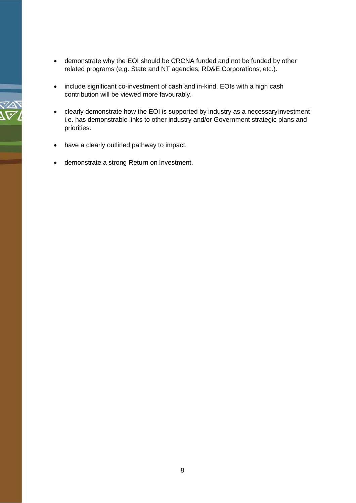- demonstrate why the EOI should be CRCNA funded and not be funded by other related programs (e.g. State and NT agencies, RD&E Corporations, etc.).
- include significant co-investment of cash and in-kind. EOIs with a high cash contribution will be viewed more favourably.
- clearly demonstrate how the EOI is supported by industry as a necessaryinvestment i.e. has demonstrable links to other industry and/or Government strategic plans and priorities.
- have a clearly outlined pathway to impact.
- demonstrate a strong Return on Investment.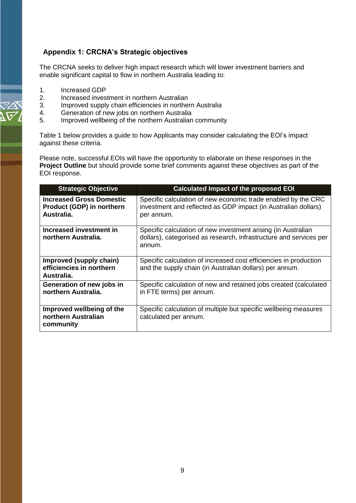# <span id="page-9-0"></span>**Appendix 1: CRCNA's Strategic objectives**

The CRCNA seeks to deliver high impact research which will lower investment barriers and enable significant capital to flow in northern Australia leading to:

- 1. Increased GDP<br>2 Increased invest
- 2. Increased investment in northern Australian<br>3. Improved supply chain efficiencies in northe
- Improved supply chain efficiencies in northern Australia
- 4. Generation of new jobs on northern Australia
- 5. Improved wellbeing of the northern Australian community

Table 1 below provides a guide to how Applicants may consider calculating the EOI's impact against these criteria.

Please note, successful EOIs will have the opportunity to elaborate on these responses in the **Project Outline** but should provide some brief comments against these objectives as part of the EOI response.

| <b>Strategic Objective</b>                                                        | <b>Calculated Impact of the proposed EOI</b>                                                                                                  |
|-----------------------------------------------------------------------------------|-----------------------------------------------------------------------------------------------------------------------------------------------|
| <b>Increased Gross Domestic</b><br><b>Product (GDP) in northern</b><br>Australia. | Specific calculation of new economic trade enabled by the CRC<br>investment and reflected as GDP impact (in Australian dollars)<br>per annum. |
| Increased investment in<br>northern Australia.                                    | Specific calculation of new investment arising (in Australian<br>dollars), categorised as research, infrastructure and services per<br>annum. |
| Improved (supply chain)<br>efficiencies in northern<br>Australia.                 | Specific calculation of increased cost efficiencies in production<br>and the supply chain (in Australian dollars) per annum.                  |
| Generation of new jobs in<br>northern Australia.                                  | Specific calculation of new and retained jobs created (calculated<br>in FTE terms) per annum.                                                 |
| Improved wellbeing of the<br>northern Australian<br>community                     | Specific calculation of multiple but specific wellbeing measures<br>calculated per annum.                                                     |